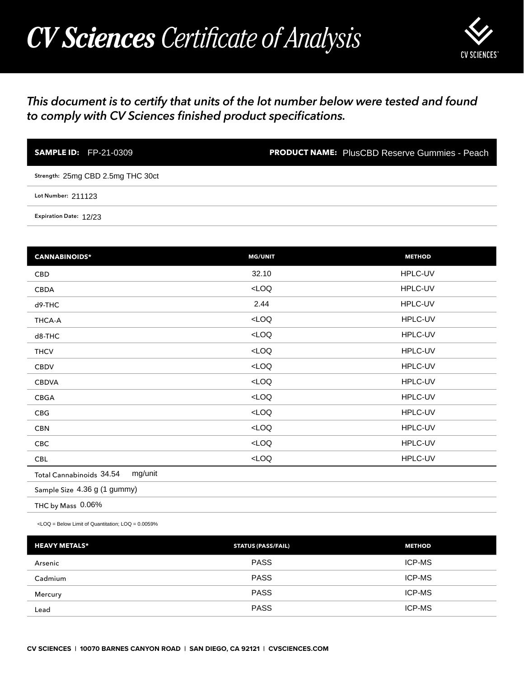## *CV Sciences Certificate of Analysis*



## *This document is to certify that units of the lot number below were tested and found to comply with CV Sciences finished product specifications.*

| <b>SAMPLE ID:</b> FP-21-0309      | <b>PRODUCT NAME:</b> PlusCBD Reserve Gummies - Peach |
|-----------------------------------|------------------------------------------------------|
| Strength: 25mg CBD 2.5mg THC 30ct |                                                      |
| Lot Number: 211123                |                                                      |
| Expiration Date: 12/23            |                                                      |

| <b>SAMPLE ID: FP-21-0309</b>                                                                     |                           | <b>PRODUCT NAME:</b> PlusCBD Reserve Gummies - Peach |
|--------------------------------------------------------------------------------------------------|---------------------------|------------------------------------------------------|
| Strength: 25mg CBD 2.5mg THC 30ct                                                                |                           |                                                      |
| Lot Number: 211123                                                                               |                           |                                                      |
| Expiration Date: 12/23                                                                           |                           |                                                      |
|                                                                                                  |                           |                                                      |
| <b>CANNABINOIDS*</b>                                                                             | <b>MG/UNIT</b>            | <b>METHOD</b>                                        |
| <b>CBD</b>                                                                                       | 32.10                     | HPLC-UV                                              |
| CBDA                                                                                             | LOO                       | HPLC-UV                                              |
| d9-THC                                                                                           | 2.44                      | HPLC-UV                                              |
| THCA-A                                                                                           | $<$ LOQ                   | HPLC-UV                                              |
| d8-THC                                                                                           | $<$ LOQ                   | HPLC-UV                                              |
| <b>THCV</b>                                                                                      | $<$ LOQ                   | HPLC-UV                                              |
| CBDV                                                                                             | LOO                       | HPLC-UV                                              |
| <b>CBDVA</b>                                                                                     | LOO                       | HPLC-UV                                              |
| CBGA                                                                                             | LOO                       | HPLC-UV                                              |
| CBG                                                                                              | $<$ LOQ                   | HPLC-UV                                              |
| <b>CBN</b>                                                                                       | LOO                       | HPLC-UV                                              |
| CBC                                                                                              | LOO                       | HPLC-UV                                              |
| <b>CBL</b>                                                                                       | $<$ LOQ                   | HPLC-UV                                              |
| mg/unit<br>Total Cannabinoids 34.54                                                              |                           |                                                      |
| Sample Size 4.36 g (1 gummy)                                                                     |                           |                                                      |
| THC by Mass 0.06%                                                                                |                           |                                                      |
| <loq =="" below="" limit="" loq="0.0059%&lt;/td" of="" quantitation;=""><td></td><td></td></loq> |                           |                                                      |
| <b>HEAVY METALS*</b>                                                                             | <b>STATUS (PASS/FAIL)</b> | <b>METHOD</b>                                        |
| Arsenic                                                                                          | <b>PASS</b>               | ICP-MS                                               |
| Cadmium                                                                                          | <b>PASS</b>               | ICP-MS                                               |
| Mercury                                                                                          | <b>PASS</b>               | ICP-MS                                               |
| Lead                                                                                             | <b>PASS</b>               | ICP-MS                                               |

| <b>HEAVY METALS*</b> | <b>STATUS (PASS/FAIL)</b> | <b>METHOD</b> |
|----------------------|---------------------------|---------------|
| Arsenic              | <b>PASS</b>               | <b>ICP-MS</b> |
| Cadmium              | <b>PASS</b>               | <b>ICP-MS</b> |
| Mercury              | <b>PASS</b>               | <b>ICP-MS</b> |
| Lead                 | <b>PASS</b>               | <b>ICP-MS</b> |